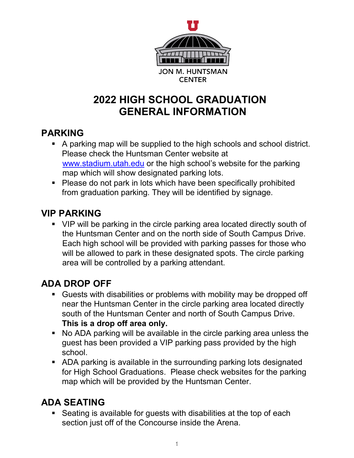

# **2022 HIGH SCHOOL GRADUATION GENERAL INFORMATION**

#### **PARKING**

- A parking map will be supplied to the high schools and school district. Please check the Huntsman Center website at [www.stadium.utah.edu](http://www.stadium.utah.edu/) or the high school's website for the parking map which will show designated parking lots.
- Please do not park in lots which have been specifically prohibited from graduation parking. They will be identified by signage.

### **VIP PARKING**

 VIP will be parking in the circle parking area located directly south of the Huntsman Center and on the north side of South Campus Drive. Each high school will be provided with parking passes for those who will be allowed to park in these designated spots. The circle parking area will be controlled by a parking attendant.

### **ADA DROP OFF**

- Guests with disabilities or problems with mobility may be dropped off near the Huntsman Center in the circle parking area located directly south of the Huntsman Center and north of South Campus Drive. **This is a drop off area only.**
- No ADA parking will be available in the circle parking area unless the guest has been provided a VIP parking pass provided by the high school.
- ADA parking is available in the surrounding parking lots designated for High School Graduations. Please check websites for the parking map which will be provided by the Huntsman Center.

### **ADA SEATING**

 Seating is available for guests with disabilities at the top of each section just off of the Concourse inside the Arena.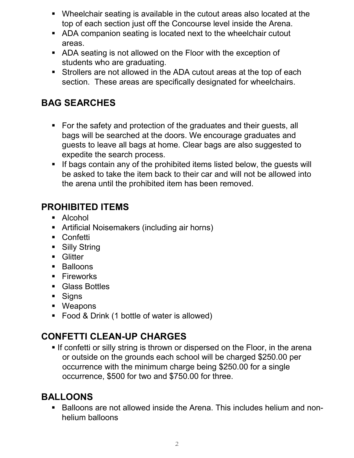- Wheelchair seating is available in the cutout areas also located at the top of each section just off the Concourse level inside the Arena.
- ADA companion seating is located next to the wheelchair cutout areas.
- ADA seating is not allowed on the Floor with the exception of students who are graduating.
- Strollers are not allowed in the ADA cutout areas at the top of each section. These areas are specifically designated for wheelchairs.

#### **BAG SEARCHES**

- For the safety and protection of the graduates and their guests, all bags will be searched at the doors. We encourage graduates and guests to leave all bags at home. Clear bags are also suggested to expedite the search process.
- If bags contain any of the prohibited items listed below, the quests will be asked to take the item back to their car and will not be allowed into the arena until the prohibited item has been removed.

#### **PROHIBITED ITEMS**

- Alcohol
- Artificial Noisemakers (including air horns)
- Confetti
- **Silly String**
- **Glitter**
- **Balloons**
- **Fireworks**
- Glass Bottles
- **Signs**
- Weapons
- **Food & Drink (1 bottle of water is allowed)**

### **CONFETTI CLEAN-UP CHARGES**

**If confetti or silly string is thrown or dispersed on the Floor, in the arena** or outside on the grounds each school will be charged \$250.00 per occurrence with the minimum charge being \$250.00 for a single occurrence, \$500 for two and \$750.00 for three.

#### **BALLOONS**

■ Balloons are not allowed inside the Arena. This includes helium and nonhelium balloons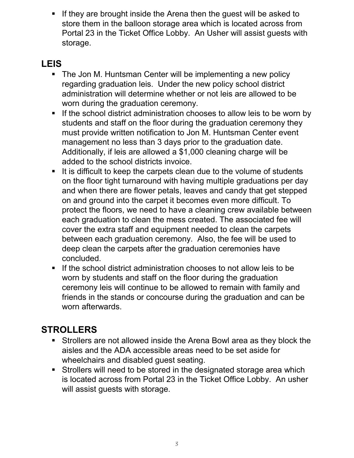**If they are brought inside the Arena then the guest will be asked to** store them in the balloon storage area which is located across from Portal 23 in the Ticket Office Lobby. An Usher will assist guests with storage.

#### **LEIS**

- The Jon M. Huntsman Center will be implementing a new policy regarding graduation leis. Under the new policy school district administration will determine whether or not leis are allowed to be worn during the graduation ceremony.
- If the school district administration chooses to allow leis to be worn by students and staff on the floor during the graduation ceremony they must provide written notification to Jon M. Huntsman Center event management no less than 3 days prior to the graduation date. Additionally, if leis are allowed a \$1,000 cleaning charge will be added to the school districts invoice.
- It is difficult to keep the carpets clean due to the volume of students on the floor tight turnaround with having multiple graduations per day and when there are flower petals, leaves and candy that get stepped on and ground into the carpet it becomes even more difficult. To protect the floors, we need to have a cleaning crew available between each graduation to clean the mess created. The associated fee will cover the extra staff and equipment needed to clean the carpets between each graduation ceremony. Also, the fee will be used to deep clean the carpets after the graduation ceremonies have concluded.
- $\blacksquare$  If the school district administration chooses to not allow leis to be worn by students and staff on the floor during the graduation ceremony leis will continue to be allowed to remain with family and friends in the stands or concourse during the graduation and can be worn afterwards.

#### **STROLLERS**

- Strollers are not allowed inside the Arena Bowl area as they block the aisles and the ADA accessible areas need to be set aside for wheelchairs and disabled guest seating.
- Strollers will need to be stored in the designated storage area which is located across from Portal 23 in the Ticket Office Lobby. An usher will assist guests with storage.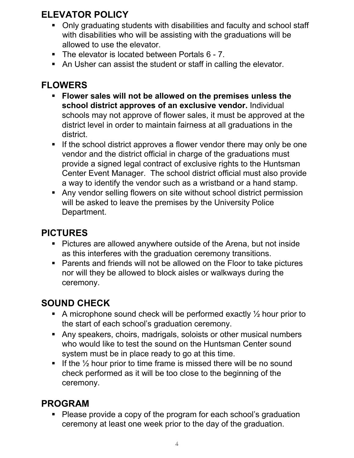### **ELEVATOR POLICY**

- Only graduating students with disabilities and faculty and school staff with disabilities who will be assisting with the graduations will be allowed to use the elevator.
- The elevator is located between Portals 6 7.
- An Usher can assist the student or staff in calling the elevator.

## **FLOWERS**

- **Flower sales will not be allowed on the premises unless the school district approves of an exclusive vendor.** Individual schools may not approve of flower sales, it must be approved at the district level in order to maintain fairness at all graduations in the district.
- If the school district approves a flower vendor there may only be one vendor and the district official in charge of the graduations must provide a signed legal contract of exclusive rights to the Huntsman Center Event Manager. The school district official must also provide a way to identify the vendor such as a wristband or a hand stamp.
- Any vendor selling flowers on site without school district permission will be asked to leave the premises by the University Police Department.

### **PICTURES**

- **Pictures are allowed anywhere outside of the Arena, but not inside** as this interferes with the graduation ceremony transitions.
- **Parents and friends will not be allowed on the Floor to take pictures** nor will they be allowed to block aisles or walkways during the ceremony.

### **SOUND CHECK**

- A microphone sound check will be performed exactly  $\frac{1}{2}$  hour prior to the start of each school's graduation ceremony.
- Any speakers, choirs, madrigals, soloists or other musical numbers who would like to test the sound on the Huntsman Center sound system must be in place ready to go at this time.
- If the  $\frac{1}{2}$  hour prior to time frame is missed there will be no sound check performed as it will be too close to the beginning of the ceremony.

### **PROGRAM**

• Please provide a copy of the program for each school's graduation ceremony at least one week prior to the day of the graduation.